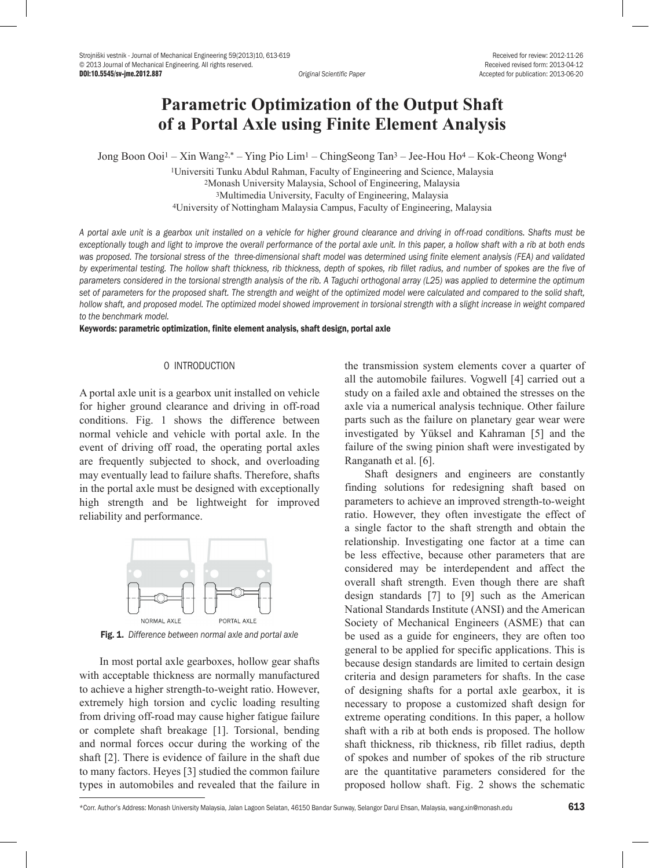# **Parametric Optimization of the Output Shaft of a Portal Axle using Finite Element Analysis**

Jong Boon Ooi1 – Xin Wang2,\* – Ying Pio Lim1 – ChingSeong Tan3 – Jee-Hou Ho4 – Kok-Cheong Wong4

1Universiti Tunku Abdul Rahman, Faculty of Engineering and Science, Malaysia 2Monash University Malaysia, School of Engineering, Malaysia 3Multimedia University, Faculty of Engineering, Malaysia 4University of Nottingham Malaysia Campus, Faculty of Engineering, Malaysia

*A portal axle unit is a gearbox unit installed on a vehicle for higher ground clearance and driving in off-road conditions. Shafts must be exceptionally tough and light to improve the overall performance of the portal axle unit. In this paper, a hollow shaft with a rib at both ends was proposed. The torsional stress of the three-dimensional shaft model was determined using finite element analysis (FEA) and validated by experimental testing. The hollow shaft thickness, rib thickness, depth of spokes, rib fillet radius, and number of spokes are the five of parameters considered in the torsional strength analysis of the rib. A Taguchi orthogonal array (L25) was applied to determine the optimum set of parameters for the proposed shaft. The strength and weight of the optimized model were calculated and compared to the solid shaft, hollow shaft, and proposed model. The optimized model showed improvement in torsional strength with a slight increase in weight compared to the benchmark model.*

Keywords: parametric optimization, finite element analysis, shaft design, portal axle

## 0 INTRODUCTION

A portal axle unit is a gearbox unit installed on vehicle for higher ground clearance and driving in off-road conditions. Fig. 1 shows the difference between normal vehicle and vehicle with portal axle. In the event of driving off road, the operating portal axles are frequently subjected to shock, and overloading may eventually lead to failure shafts. Therefore, shafts in the portal axle must be designed with exceptionally high strength and be lightweight for improved reliability and performance.



Fig. 1. *Difference between normal axle and portal axle*

In most portal axle gearboxes, hollow gear shafts with acceptable thickness are normally manufactured to achieve a higher strength-to-weight ratio. However, extremely high torsion and cyclic loading resulting from driving off-road may cause higher fatigue failure or complete shaft breakage [1]. Torsional, bending and normal forces occur during the working of the shaft [2]. There is evidence of failure in the shaft due to many factors. Heyes [3] studied the common failure types in automobiles and revealed that the failure in

the transmission system elements cover a quarter of all the automobile failures. Vogwell [4] carried out a study on a failed axle and obtained the stresses on the axle via a numerical analysis technique. Other failure parts such as the failure on planetary gear wear were investigated by Yüksel and Kahraman [5] and the failure of the swing pinion shaft were investigated by Ranganath et al. [6].

Shaft designers and engineers are constantly finding solutions for redesigning shaft based on parameters to achieve an improved strength-to-weight ratio. However, they often investigate the effect of a single factor to the shaft strength and obtain the relationship. Investigating one factor at a time can be less effective, because other parameters that are considered may be interdependent and affect the overall shaft strength. Even though there are shaft design standards [7] to [9] such as the American National Standards Institute (ANSI) and the American Society of Mechanical Engineers (ASME) that can be used as a guide for engineers, they are often too general to be applied for specific applications. This is because design standards are limited to certain design criteria and design parameters for shafts. In the case of designing shafts for a portal axle gearbox, it is necessary to propose a customized shaft design for extreme operating conditions. In this paper, a hollow shaft with a rib at both ends is proposed. The hollow shaft thickness, rib thickness, rib fillet radius, depth of spokes and number of spokes of the rib structure are the quantitative parameters considered for the proposed hollow shaft. Fig. 2 shows the schematic

\*Corr. Author's Address: Monash University Malaysia, Jalan Lagoon Selatan, 46150 Bandar Sunway, Selangor Darul Ehsan, Malaysia, wang.xin@monash.edu 613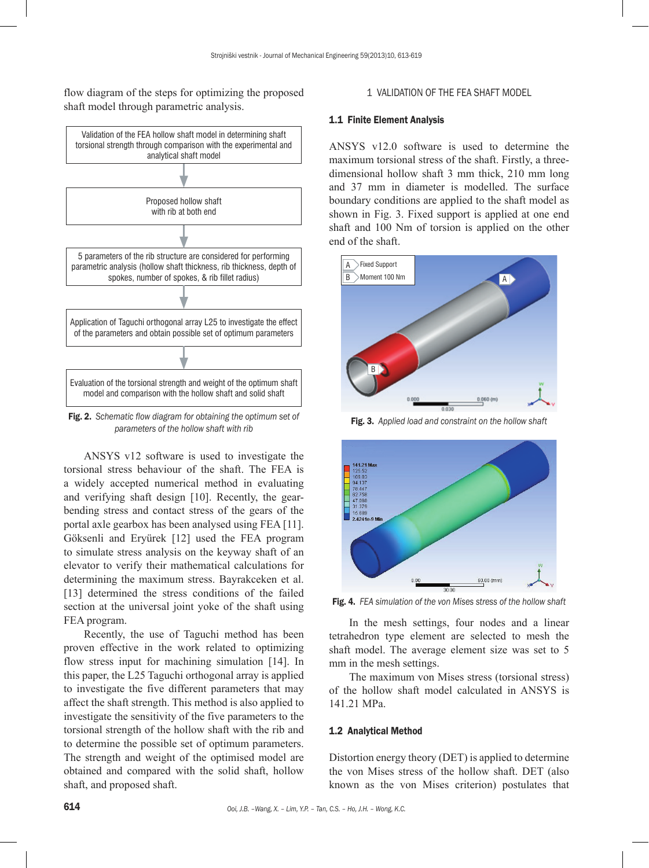flow diagram of the steps for optimizing the proposed shaft model through parametric analysis.



Fig. 2. *Schematic flow diagram for obtaining the optimum set of parameters of the hollow shaft with rib*

ANSYS v12 software is used to investigate the torsional stress behaviour of the shaft. The FEA is a widely accepted numerical method in evaluating and verifying shaft design [10]. Recently, the gearbending stress and contact stress of the gears of the portal axle gearbox has been analysed using FEA [11]. Göksenli and Eryürek [12] used the FEA program to simulate stress analysis on the keyway shaft of an elevator to verify their mathematical calculations for determining the maximum stress. Bayrakceken et al. [13] determined the stress conditions of the failed section at the universal joint yoke of the shaft using FEA program.

Recently, the use of Taguchi method has been proven effective in the work related to optimizing flow stress input for machining simulation [14]. In this paper, the L25 Taguchi orthogonal array is applied to investigate the five different parameters that may affect the shaft strength. This method is also applied to investigate the sensitivity of the five parameters to the torsional strength of the hollow shaft with the rib and to determine the possible set of optimum parameters. The strength and weight of the optimised model are obtained and compared with the solid shaft, hollow shaft, and proposed shaft.

### 1 VALIDATION OF THE FEA SHAFT MODEL

#### 1.1 Finite Element Analysis

ANSYS v12.0 software is used to determine the maximum torsional stress of the shaft. Firstly, a threedimensional hollow shaft 3 mm thick, 210 mm long and 37 mm in diameter is modelled. The surface boundary conditions are applied to the shaft model as shown in Fig. 3. Fixed support is applied at one end shaft and 100 Nm of torsion is applied on the other end of the shaft.



Fig. 3. *Applied load and constraint on the hollow shaft*



Fig. 4. *FEA simulation of the von Mises stress of the hollow shaft*

In the mesh settings, four nodes and a linear tetrahedron type element are selected to mesh the shaft model. The average element size was set to 5 mm in the mesh settings.

The maximum von Mises stress (torsional stress) of the hollow shaft model calculated in ANSYS is 141.21 MPa.

#### 1.2 Analytical Method

Distortion energy theory (DET) is applied to determine the von Mises stress of the hollow shaft. DET (also known as the von Mises criterion) postulates that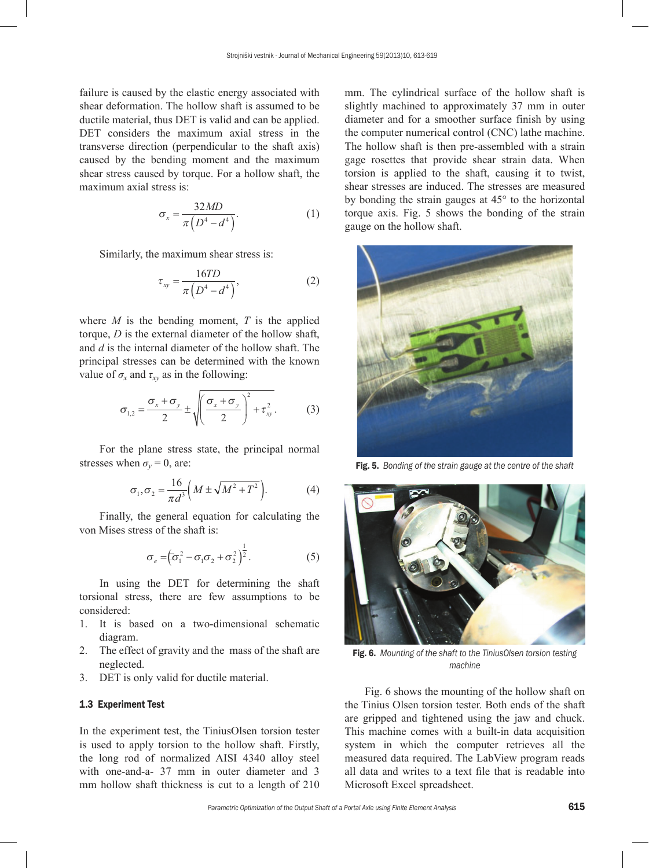failure is caused by the elastic energy associated with shear deformation. The hollow shaft is assumed to be ductile material, thus DET is valid and can be applied. DET considers the maximum axial stress in the transverse direction (perpendicular to the shaft axis) caused by the bending moment and the maximum shear stress caused by torque. For a hollow shaft, the maximum axial stress is:

$$
\sigma_x = \frac{32MD}{\pi \left( D^4 - d^4 \right)}.
$$
 (1)

Similarly, the maximum shear stress is:

$$
\tau_{xy} = \frac{16TD}{\pi \left( D^4 - d^4 \right)},\tag{2}
$$

where  $M$  is the bending moment,  $T$  is the applied torque, *D* is the external diameter of the hollow shaft, and *d* is the internal diameter of the hollow shaft. The principal stresses can be determined with the known value of  $\sigma_x$  and  $\tau_{xy}$  as in the following:

$$
\sigma_{1,2} = \frac{\sigma_x + \sigma_y}{2} \pm \sqrt{\left(\frac{\sigma_x + \sigma_y}{2}\right)^2 + \tau_{xy}^2}.
$$
 (3)

For the plane stress state, the principal normal stresses when  $\sigma_v = 0$ , are:

$$
\sigma_1, \sigma_2 = \frac{16}{\pi d^3} \left( M \pm \sqrt{M^2 + T^2} \right). \tag{4}
$$

Finally, the general equation for calculating the von Mises stress of the shaft is:

$$
\sigma_e = \left(\sigma_1^2 - \sigma_1 \sigma_2 + \sigma_2^2\right)^{\frac{1}{2}}.
$$
 (5)

In using the DET for determining the shaft torsional stress, there are few assumptions to be considered:

- 1. It is based on a two-dimensional schematic diagram.
- 2. The effect of gravity and the mass of the shaft are neglected.
- 3. DET is only valid for ductile material.

## 1.3 Experiment Test

In the experiment test, the TiniusOlsen torsion tester is used to apply torsion to the hollow shaft. Firstly, the long rod of normalized AISI 4340 alloy steel with one-and-a- 37 mm in outer diameter and 3 mm hollow shaft thickness is cut to a length of 210

mm. The cylindrical surface of the hollow shaft is slightly machined to approximately 37 mm in outer diameter and for a smoother surface finish by using the computer numerical control (CNC) lathe machine. The hollow shaft is then pre-assembled with a strain gage rosettes that provide shear strain data. When torsion is applied to the shaft, causing it to twist, shear stresses are induced. The stresses are measured by bonding the strain gauges at 45° to the horizontal torque axis. Fig. 5 shows the bonding of the strain gauge on the hollow shaft.



Fig. 5. *Bonding of the strain gauge at the centre of the shaft*



Fig. 6. *Mounting of the shaft to the TiniusOlsen torsion testing machine*

Fig. 6 shows the mounting of the hollow shaft on the Tinius Olsen torsion tester. Both ends of the shaft are gripped and tightened using the jaw and chuck. This machine comes with a built-in data acquisition system in which the computer retrieves all the measured data required. The LabView program reads all data and writes to a text file that is readable into Microsoft Excel spreadsheet.

*Parametric Optimization of the Output Shaft of a Portal Axle using Finite Element Analysis* 615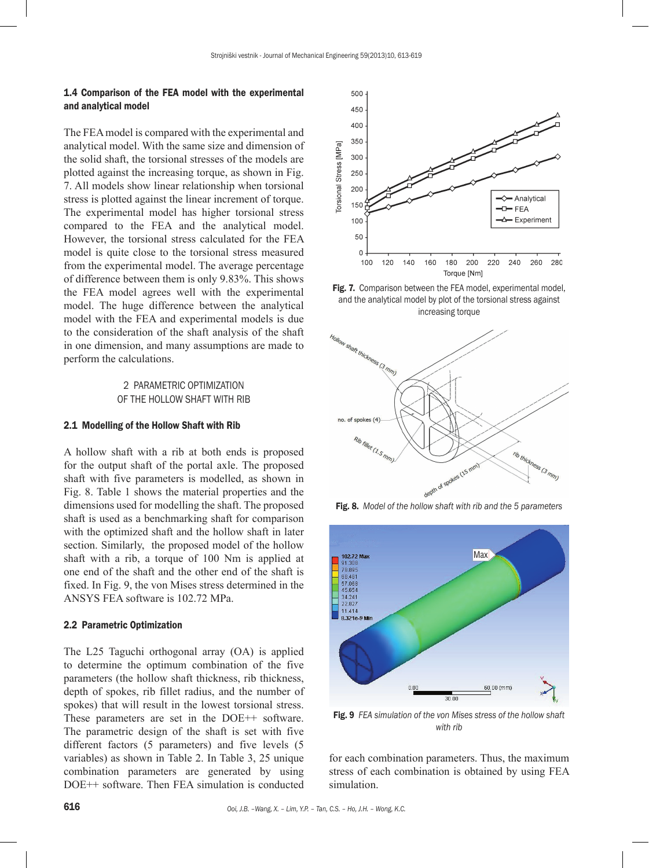## 1.4 Comparison of the FEA model with the experimental and analytical model

The FEA model is compared with the experimental and analytical model. With the same size and dimension of the solid shaft, the torsional stresses of the models are plotted against the increasing torque, as shown in Fig. 7. All models show linear relationship when torsional stress is plotted against the linear increment of torque. The experimental model has higher torsional stress compared to the FEA and the analytical model. However, the torsional stress calculated for the FEA model is quite close to the torsional stress measured from the experimental model. The average percentage of difference between them is only 9.83%. This shows the FEA model agrees well with the experimental model. The huge difference between the analytical model with the FEA and experimental models is due to the consideration of the shaft analysis of the shaft in one dimension, and many assumptions are made to perform the calculations.

> 2 PARAMETRIC OPTIMIZATION OF THE HOLLOW SHAFT WITH RIB

#### 2.1 Modelling of the Hollow Shaft with Rib

A hollow shaft with a rib at both ends is proposed for the output shaft of the portal axle. The proposed shaft with five parameters is modelled, as shown in Fig. 8. Table 1 shows the material properties and the dimensions used for modelling the shaft. The proposed shaft is used as a benchmarking shaft for comparison with the optimized shaft and the hollow shaft in later section. Similarly, the proposed model of the hollow shaft with a rib, a torque of 100 Nm is applied at one end of the shaft and the other end of the shaft is fixed. In Fig. 9, the von Mises stress determined in the ANSYS FEA software is 102.72 MPa.

## 2.2 Parametric Optimization

The L25 Taguchi orthogonal array (OA) is applied to determine the optimum combination of the five parameters (the hollow shaft thickness, rib thickness, depth of spokes, rib fillet radius, and the number of spokes) that will result in the lowest torsional stress. These parameters are set in the DOE++ software. The parametric design of the shaft is set with five different factors (5 parameters) and five levels (5 variables) as shown in Table 2. In Table 3, 25 unique combination parameters are generated by using DOE++ software. Then FEA simulation is conducted



Fig. 7. Comparison between the FEA model, experimental model, and the analytical model by plot of the torsional stress against increasing torque



Fig. 8. *Model of the hollow shaft with rib and the 5 parameters*



Fig. 9 *FEA simulation of the von Mises stress of the hollow shaft with rib*

for each combination parameters. Thus, the maximum stress of each combination is obtained by using FEA simulation.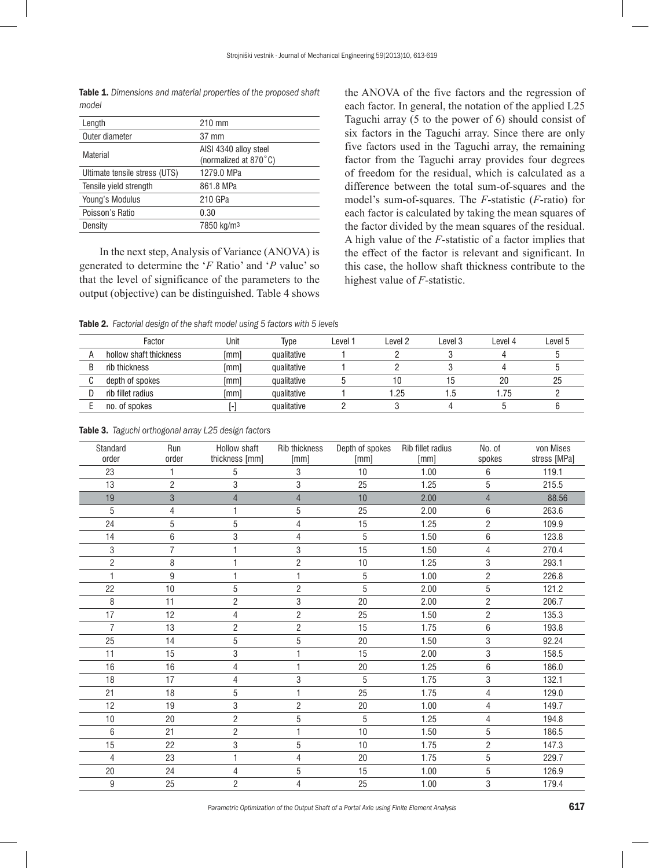Table 1. *Dimensions and material properties of the proposed shaft model*

| Length                        | 210 mm                                         |
|-------------------------------|------------------------------------------------|
| Outer diameter                | 37 mm                                          |
| Material                      | AISI 4340 alloy steel<br>(normalized at 870°C) |
| Ultimate tensile stress (UTS) | 1279.0 MPa                                     |
| Tensile yield strength        | 861.8 MPa                                      |
| Young's Modulus               | 210 GPa                                        |
| Poisson's Ratio               | 0.30                                           |
| Density                       | 7850 kg/m <sup>3</sup>                         |
|                               |                                                |

In the next step, Analysis of Variance (ANOVA) is generated to determine the '*F* Ratio' and '*P* value' so that the level of significance of the parameters to the output (objective) can be distinguished. Table 4 shows

the ANOVA of the five factors and the regression of each factor. In general, the notation of the applied L25 Taguchi array (5 to the power of 6) should consist of six factors in the Taguchi array. Since there are only five factors used in the Taguchi array, the remaining factor from the Taguchi array provides four degrees of freedom for the residual, which is calculated as a difference between the total sum-of-squares and the model's sum-of-squares. The *F*-statistic (*F*-ratio) for each factor is calculated by taking the mean squares of the factor divided by the mean squares of the residual. A high value of the *F*-statistic of a factor implies that the effect of the factor is relevant and significant. In this case, the hollow shaft thickness contribute to the highest value of *F*-statistic.

Table 2. *Factorial design of the shaft model using 5 factors with 5 levels*

| Factor                 | Unit | Type        | Level 1 | Level 2 | Level 3 | Level 4 | Level 5 |
|------------------------|------|-------------|---------|---------|---------|---------|---------|
| hollow shaft thickness | [mm] | qualitative |         |         |         |         |         |
| rib thickness          | [mm] | qualitative |         |         |         |         |         |
| depth of spokes        | [mm] | qualitative |         |         | ט ו     | 20      | 25      |
| rib fillet radius      | [mm] | qualitative |         | .25     |         | .75     |         |
| no. of spokes          |      | qualitative |         |         |         |         |         |

|  |  | <b>Table 3.</b> Taguchi orthogonal array L25 design factors |  |  |  |
|--|--|-------------------------------------------------------------|--|--|--|
|--|--|-------------------------------------------------------------|--|--|--|

| Standard<br>order | Run<br>order    | Hollow shaft<br>thickness [mm] | <b>Rib thickness</b><br>[mm] | Depth of spokes<br>[mm] | Rib fillet radius<br>[mm] | No. of<br>spokes | von Mises<br>stress [MPa] |
|-------------------|-----------------|--------------------------------|------------------------------|-------------------------|---------------------------|------------------|---------------------------|
| 23                |                 | 5                              | 3                            | 10                      | 1.00                      | 6                | 119.1                     |
| 13                | $\overline{c}$  | 3                              | 3                            | 25                      | 1.25                      | 5                | 215.5                     |
| 19                | 3               | $\overline{4}$                 | $\overline{4}$               | 10                      | 2.00                      | $\overline{4}$   | 88.56                     |
| 5                 | 4               |                                | 5                            | 25                      | 2.00                      | 6                | 263.6                     |
| 24                | 5               | 5                              | 4                            | 15                      | 1.25                      | $\overline{c}$   | 109.9                     |
| 14                | 6               | 3                              | 4                            | 5                       | 1.50                      | 6                | 123.8                     |
| 3                 | 7               |                                | 3                            | 15                      | 1.50                      | 4                | 270.4                     |
| $\overline{2}$    | 8               |                                | $\overline{2}$               | 10                      | 1.25                      | 3                | 293.1                     |
|                   | 9               |                                | $\mathbf{1}$                 | 5                       | 1.00                      | $\overline{c}$   | 226.8                     |
| 22                | 10              | 5                              | $\overline{2}$               | 5                       | 2.00                      | $\overline{5}$   | 121.2                     |
| 8                 | 11              | $\overline{2}$                 | $\sqrt{3}$                   | 20                      | 2.00                      | $\overline{2}$   | 206.7                     |
| 17                | 12              | 4                              | $\overline{c}$               | 25                      | 1.50                      | $\overline{c}$   | 135.3                     |
| 7                 | 13              | 2                              | $\overline{c}$               | 15                      | 1.75                      | $\,6\,$          | 193.8                     |
| 25                | 14              | 5                              | 5                            | 20                      | 1.50                      | 3                | 92.24                     |
| 11                | 15              | 3                              | 1                            | 15                      | 2.00                      | 3                | 158.5                     |
| 16                | 16              | 4                              | 1                            | 20                      | 1.25                      | $6\phantom{1}$   | 186.0                     |
| 18                | 17              | 4                              | $\sqrt{3}$                   | 5                       | 1.75                      | 3                | 132.1                     |
| 21                | 18              | 5                              | $\mathbf{1}$                 | $\overline{25}$         | 1.75                      | $\overline{4}$   | 129.0                     |
| 12                | 19              | 3                              | $\overline{c}$               | 20                      | 1.00                      | 4                | 149.7                     |
| 10                | 20              | $\overline{c}$                 | 5                            | 5                       | 1.25                      | 4                | 194.8                     |
| 6                 | $\overline{21}$ | $\overline{2}$                 | $\mathbf{1}$                 | 10                      | 1.50                      | $\overline{5}$   | 186.5                     |
| 15                | 22              | 3                              | 5                            | 10                      | 1.75                      | $\overline{c}$   | 147.3                     |
| 4                 | 23              |                                | 4                            | 20                      | 1.75                      | 5                | 229.7                     |
| 20                | 24              | 4                              | $\mathbf 5$                  | 15                      | 1.00                      | 5                | 126.9                     |
| 9                 | 25              | $\overline{c}$                 | 4                            | 25                      | 1.00                      | 3                | 179.4                     |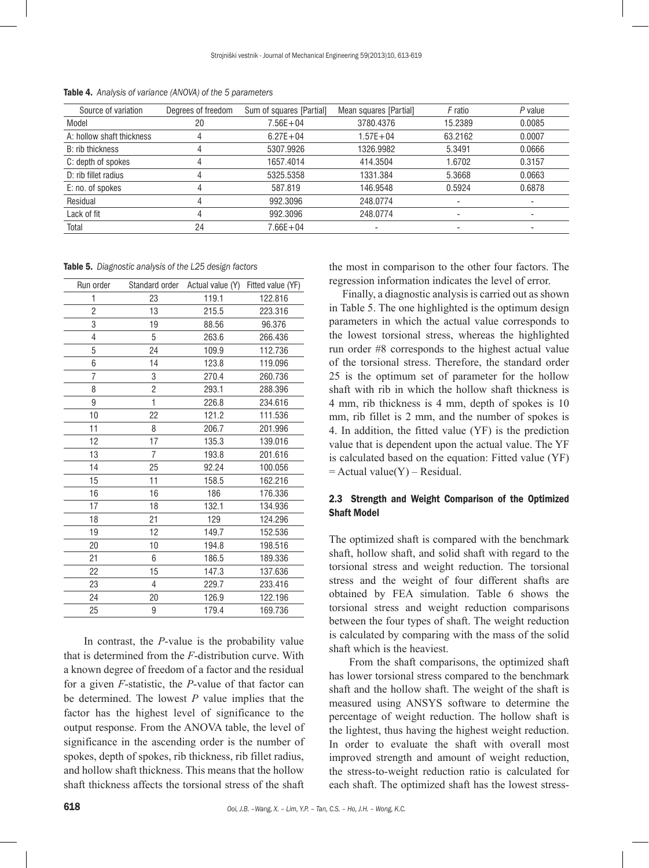| Source of variation       | Degrees of freedom | Sum of squares [Partial] | Mean squares [Partial] | F ratio                  | P value |
|---------------------------|--------------------|--------------------------|------------------------|--------------------------|---------|
| Model                     | 20                 | $7.56E + 04$             | 3780,4376              | 15.2389                  | 0.0085  |
| A: hollow shaft thickness |                    | $6.27E + 04$             | $1.57E + 04$           | 63.2162                  | 0.0007  |
| B: rib thickness          |                    | 5307.9926                | 1326.9982              | 5.3491                   | 0.0666  |
| C: depth of spokes        |                    | 1657.4014                | 414.3504               | 1.6702                   | 0.3157  |
| D: rib fillet radius      |                    | 5325.5358                | 1331.384               | 5.3668                   | 0.0663  |
| E: no. of spokes          |                    | 587.819                  | 146.9548               | 0.5924                   | 0.6878  |
| Residual                  |                    | 992.3096                 | 248.0774               |                          |         |
| Lack of fit               |                    | 992.3096                 | 248.0774               | ۰                        | -       |
| Total                     | 24                 | $7.66E + 04$             | -                      | $\overline{\phantom{0}}$ |         |

Table 4. *Analysis of variance (ANOVA) of the 5 parameters*

Table 5. *Diagnostic analysis of the L25 design factors*

| Run order |                | Standard order Actual value (Y) | Fitted value (YF) |
|-----------|----------------|---------------------------------|-------------------|
| 1         | 23             | 119.1                           | 122.816           |
| 2         | 13             | 215.5                           | 223.316           |
| 3         | 19             | 88.56                           | 96.376            |
| 4         | 5              | 263.6                           | 266.436           |
| 5         | 24             | 109.9                           | 112.736           |
| 6         | 14             | 123.8                           | 119.096           |
| 7         | 3              | 270.4                           | 260.736           |
| 8         | 2              | 293.1                           | 288.396           |
| 9         | $\mathbf{1}$   | 226.8                           | 234.616           |
| 10        | 22             | 121.2                           | 111.536           |
| 11        | 8              | 206.7                           | 201.996           |
| 12        | 17             | 135.3                           | 139.016           |
| 13        | $\overline{7}$ | 193.8                           | 201.616           |
| 14        | 25             | 92.24                           | 100.056           |
| 15        | 11             | 158.5                           | 162.216           |
| 16        | 16             | 186                             | 176.336           |
| 17        | 18             | 132.1                           | 134.936           |
| 18        | 21             | 129                             | 124.296           |
| 19        | 12             | 149.7                           | 152.536           |
| 20        | 10             | 194.8                           | 198.516           |
| 21        | 6              | 186.5                           | 189.336           |
| 22        | 15             | 147.3                           | 137.636           |
| 23        | 4              | 229.7                           | 233.416           |
| 24        | 20             | 126.9                           | 122.196           |
| 25        | 9              | 179.4                           | 169.736           |

In contrast, the *P*-value is the probability value that is determined from the *F*-distribution curve. With a known degree of freedom of a factor and the residual for a given *F*-statistic, the *P*-value of that factor can be determined. The lowest *P* value implies that the factor has the highest level of significance to the output response. From the ANOVA table, the level of significance in the ascending order is the number of spokes, depth of spokes, rib thickness, rib fillet radius, and hollow shaft thickness. This means that the hollow shaft thickness affects the torsional stress of the shaft

the most in comparison to the other four factors. The regression information indicates the level of error.

Finally, a diagnostic analysis is carried out as shown in Table 5. The one highlighted is the optimum design parameters in which the actual value corresponds to the lowest torsional stress, whereas the highlighted run order #8 corresponds to the highest actual value of the torsional stress. Therefore, the standard order 25 is the optimum set of parameter for the hollow shaft with rib in which the hollow shaft thickness is 4 mm, rib thickness is 4 mm, depth of spokes is 10 mm, rib fillet is 2 mm, and the number of spokes is 4. In addition, the fitted value (YF) is the prediction value that is dependent upon the actual value. The YF is calculated based on the equation: Fitted value (YF)  $=$  Actual value(Y) – Residual.

## 2.3 Strength and Weight Comparison of the Optimized Shaft Model

The optimized shaft is compared with the benchmark shaft, hollow shaft, and solid shaft with regard to the torsional stress and weight reduction. The torsional stress and the weight of four different shafts are obtained by FEA simulation. Table 6 shows the torsional stress and weight reduction comparisons between the four types of shaft. The weight reduction is calculated by comparing with the mass of the solid shaft which is the heaviest.

From the shaft comparisons, the optimized shaft has lower torsional stress compared to the benchmark shaft and the hollow shaft. The weight of the shaft is measured using ANSYS software to determine the percentage of weight reduction. The hollow shaft is the lightest, thus having the highest weight reduction. In order to evaluate the shaft with overall most improved strength and amount of weight reduction, the stress-to-weight reduction ratio is calculated for each shaft. The optimized shaft has the lowest stress-